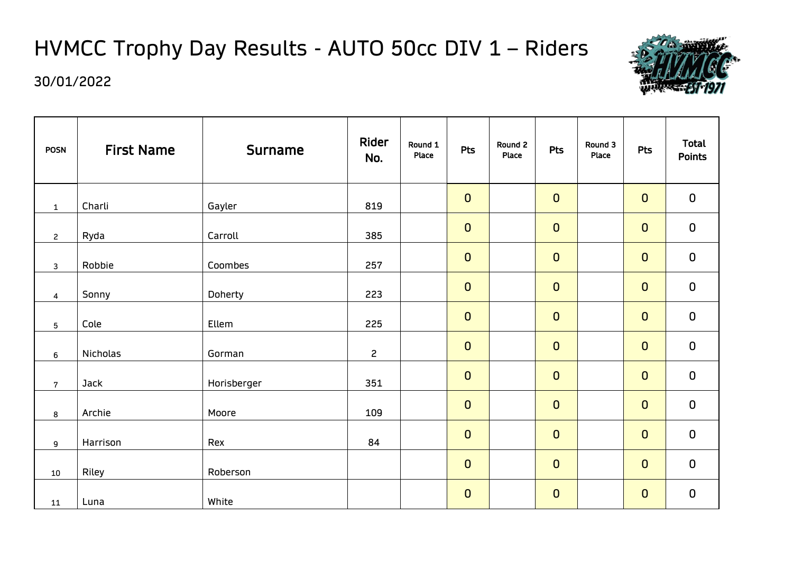# HVMCC Trophy Day Results - AUTO 50cc DIV 1 – Riders



| <b>POSN</b>     | <b>First Name</b> | <b>Surname</b> | Rider<br>No.   | Round 1<br>Place | <b>Pts</b>  | Round 2<br>Place | <b>Pts</b>  | Round 3<br>Place | <b>Pts</b>  | <b>Total</b><br><b>Points</b> |
|-----------------|-------------------|----------------|----------------|------------------|-------------|------------------|-------------|------------------|-------------|-------------------------------|
| $\mathbf{1}$    | Charli            | Gayler         | 819            |                  | $\mathbf 0$ |                  | $\mathbf 0$ |                  | $\mathbf 0$ | $\mathbf 0$                   |
| $\overline{c}$  | Ryda              | Carroll        | 385            |                  | $\mathbf 0$ |                  | $\mathbf 0$ |                  | $\mathbf 0$ | $\mathbf 0$                   |
| 3               | Robbie            | Coombes        | 257            |                  | $\mathbf 0$ |                  | $\mathbf 0$ |                  | $\mathbf 0$ | $\mathbf 0$                   |
| $\overline{4}$  | Sonny             | Doherty        | 223            |                  | $\mathbf 0$ |                  | $\mathbf 0$ |                  | $\mathbf 0$ | $\mathbf 0$                   |
| $5\phantom{.0}$ | Cole              | Ellem          | 225            |                  | $\mathbf 0$ |                  | $\mathbf 0$ |                  | $\mathbf 0$ | $\mathbf 0$                   |
| 6               | Nicholas          | Gorman         | $\overline{c}$ |                  | $\mathbf 0$ |                  | $\mathbf 0$ |                  | $\mathbf 0$ | $\mathbf 0$                   |
| $\overline{7}$  | Jack              | Horisberger    | 351            |                  | $\mathbf 0$ |                  | $\mathbf 0$ |                  | $\mathbf 0$ | $\mathbf 0$                   |
| 8               | Archie            | Moore          | 109            |                  | $\mathbf 0$ |                  | $\mathbf 0$ |                  | $\mathbf 0$ | $\pmb{0}$                     |
| 9               | Harrison          | Rex            | 84             |                  | $\mathbf 0$ |                  | $\mathbf 0$ |                  | $\mathbf 0$ | $\mathbf 0$                   |
| $10\,$          | Riley             | Roberson       |                |                  | $\mathbf 0$ |                  | $\mathbf 0$ |                  | $\mathbf 0$ | $\mathbf 0$                   |
| 11              | Luna              | White          |                |                  | $\mathbf 0$ |                  | $\mathbf 0$ |                  | $\mathbf 0$ | $\mathbf 0$                   |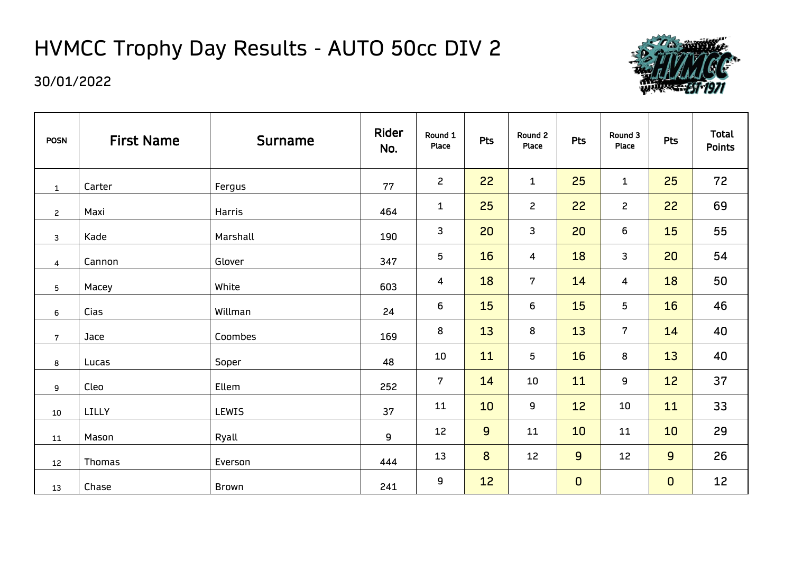# HVMCC Trophy Day Results - AUTO 50cc DIV 2



| <b>POSN</b>             | <b>First Name</b> | <b>Surname</b> | Rider<br>No. | Round 1<br>Place | Pts             | Round 2<br>Place | Pts         | Round 3<br>Place | <b>Pts</b>  | <b>Total</b><br><b>Points</b> |
|-------------------------|-------------------|----------------|--------------|------------------|-----------------|------------------|-------------|------------------|-------------|-------------------------------|
| $\mathbf{1}$            | Carter            | Fergus         | 77           | $\overline{2}$   | 22              | $\mathbf{1}$     | 25          | $\mathbf{1}$     | 25          | 72                            |
| $\mathbf{2}$            | Maxi              | Harris         | 464          | $\mathbf{1}$     | 25              | $\overline{c}$   | 22          | $\mathsf{S}$     | 22          | 69                            |
| $\mathsf{3}$            | Kade              | Marshall       | 190          | $\mathbf{3}$     | 20              | 3                | 20          | 6                | 15          | 55                            |
| $\overline{\mathbf{4}}$ | Cannon            | Glover         | 347          | 5                | 16              | 4                | 18          | 3                | 20          | 54                            |
| $5\phantom{.0}$         | Macey             | White          | 603          | 4                | 18              | $\overline{7}$   | 14          | 4                | 18          | 50                            |
| 6                       | Cias              | Willman        | 24           | 6                | 15              | 6                | 15          | 5 <sub>5</sub>   | 16          | 46                            |
| $\overline{7}$          | Jace              | Coombes        | 169          | 8                | 13              | 8                | 13          | $7\overline{ }$  | 14          | 40                            |
| 8                       | Lucas             | Soper          | 48           | 10               | 11              | 5                | 16          | 8                | 13          | 40                            |
| 9                       | Cleo              | Ellem          | 252          | $\overline{7}$   | 14              | 10               | 11          | 9                | 12          | 37                            |
| $10\,$                  | LILLY             | <b>LEWIS</b>   | 37           | 11               | 10              | 9                | 12          | 10               | 11          | 33                            |
| 11                      | Mason             | Ryall          | 9            | 12               | $\overline{9}$  | 11               | 10          | 11               | 10          | 29                            |
| 12                      | Thomas            | Everson        | 444          | 13               | 8               | 12               | 9           | 12               | 9           | 26                            |
| 13                      | Chase             | Brown          | 241          | 9                | 12 <sup>°</sup> |                  | $\mathbf 0$ |                  | $\mathbf 0$ | 12                            |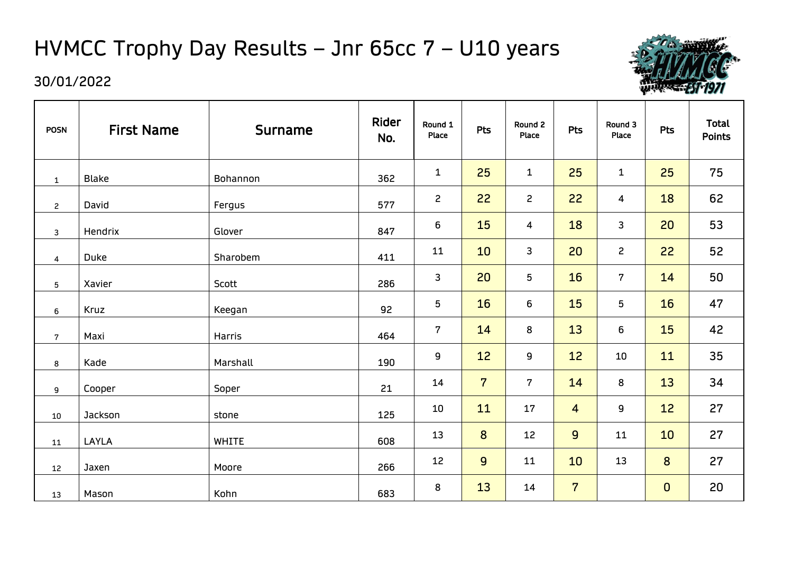# HVMCC Trophy Day Results – Jnr 65cc 7 – U10 years



| <b>POSN</b>             | <b>First Name</b> | <b>Surname</b> | Rider<br>No. | Round 1<br>Place | Pts            | Round 2<br>Place | <b>Pts</b>     | Round 3<br>Place | Pts         | <b>Total</b><br><b>Points</b> |
|-------------------------|-------------------|----------------|--------------|------------------|----------------|------------------|----------------|------------------|-------------|-------------------------------|
| $\mathbf{1}$            | <b>Blake</b>      | Bohannon       | 362          | $\mathbf{1}$     | 25             | $\mathbf 1$      | 25             | $\mathbf{1}$     | 25          | 75                            |
| $\overline{c}$          | David             | Fergus         | 577          | $\mathbf{2}$     | 22             | $\overline{c}$   | 22             | 4                | 18          | 62                            |
| $\mathbf{3}$            | Hendrix           | Glover         | 847          | 6                | 15             | 4                | 18             | 3                | 20          | 53                            |
| $\overline{\mathbf{4}}$ | Duke              | Sharobem       | 411          | 11               | 10             | 3                | 20             | $\mathbf{2}$     | 22          | 52                            |
| $5\phantom{.0}$         | Xavier            | Scott          | 286          | 3                | 20             | 5                | 16             | $7\overline{ }$  | 14          | 50                            |
| 6                       | Kruz              | Keegan         | 92           | 5                | 16             | 6                | 15             | 5                | 16          | 47                            |
| $7\overline{ }$         | Maxi              | Harris         | 464          | $\mathbf 7$      | 14             | 8                | 13             | 6                | 15          | 42                            |
| 8                       | Kade              | Marshall       | 190          | 9                | 12             | 9                | 12             | 10               | 11          | 35                            |
| 9                       | Cooper            | Soper          | 21           | 14               | $\overline{7}$ | $7\overline{ }$  | 14             | 8                | 13          | 34                            |
| 10                      | Jackson           | stone          | 125          | 10               | 11             | 17               | $\overline{4}$ | 9                | 12          | 27                            |
| 11                      | LAYLA             | <b>WHITE</b>   | 608          | 13               | 8              | 12               | $\overline{9}$ | 11               | 10          | 27                            |
| 12                      | Jaxen             | Moore          | 266          | 12               | 9              | 11               | 10             | 13               | 8           | 27                            |
| 13                      | Mason             | Kohn           | 683          | 8                | 13             | 14               | $\overline{7}$ |                  | $\mathbf 0$ | 20                            |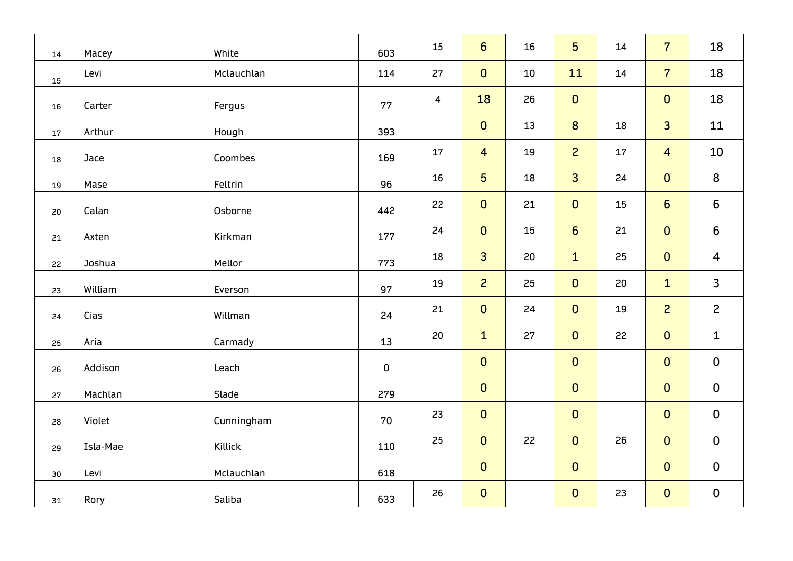| 14              | Macey    | White      | 603       | 15 | $6\overline{6}$ | 16 | 5               | 14 | $\overline{7}$          | 18                      |
|-----------------|----------|------------|-----------|----|-----------------|----|-----------------|----|-------------------------|-------------------------|
| 15              | Levi     | Mclauchlan | 114       | 27 | $\mathbf{0}$    | 10 | 11              | 14 | $\overline{7}$          | 18                      |
| 16              | Carter   | Fergus     | 77        | 4  | 18              | 26 | $\mathbf 0$     |    | $\mathbf 0$             | 18                      |
| 17              | Arthur   | Hough      | 393       |    | $\mathbf 0$     | 13 | 8               | 18 | $\overline{3}$          | 11                      |
| 18              | Jace     | Coombes    | 169       | 17 | $\overline{4}$  | 19 | $\overline{2}$  | 17 | $\overline{\mathbf{4}}$ | 10                      |
| 19              | Mase     | Feltrin    | 96        | 16 | $5\overline{)}$ | 18 | $\overline{3}$  | 24 | $\mathbf 0$             | $\bf 8$                 |
| 20              | Calan    | Osborne    | 442       | 22 | $\pmb{0}$       | 21 | $\mathbf 0$     | 15 | $6\phantom{a}$          | $\boldsymbol{6}$        |
| 21              | Axten    | Kirkman    | 177       | 24 | $\mathbf{0}$    | 15 | $6\overline{6}$ | 21 | $\mathbf 0$             | $\boldsymbol{6}$        |
| 22              | Joshua   | Mellor     | 773       | 18 | $\overline{3}$  | 20 | $\mathbf{1}$    | 25 | $\mathbf 0$             | $\overline{\mathbf{4}}$ |
| 23              | William  | Everson    | 97        | 19 | $\overline{c}$  | 25 | $\mathbf 0$     | 20 | $\mathbf{1}$            | 3                       |
| 24              | Cias     | Willman    | 24        | 21 | $\mathbf 0$     | 24 | $\mathbf 0$     | 19 | $\overline{c}$          | $\overline{c}$          |
| 25              | Aria     | Carmady    | 13        | 20 | $\mathbf{1}$    | 27 | $\mathbf{0}$    | 22 | $\mathbf{0}$            | $\mathbf{1}$            |
| 26              | Addison  | Leach      | $\pmb{0}$ |    | $\overline{0}$  |    | $\mathbf 0$     |    | $\mathbf 0$             | $\pmb{0}$               |
| 27              | Machlan  | Slade      | 279       |    | $\mathbf{0}$    |    | $\mathbf 0$     |    | $\mathbf 0$             | $\pmb{0}$               |
| 28              | Violet   | Cunningham | 70        | 23 | $\mathbf{0}$    |    | $\mathbf 0$     |    | $\mathbf 0$             | $\mathbf 0$             |
| 29              | Isla-Mae | Killick    | 110       | 25 | $\mathbf{0}$    | 22 | $\mathbf 0$     | 26 | $\mathbf 0$             | $\mathbf 0$             |
| 30 <sub>o</sub> | Levi     | Mclauchlan | 618       |    | $\mathbf 0$     |    | $\mathbf 0$     |    | $\mathbf 0$             | $\mathbf 0$             |
| 31              | Rory     | Saliba     | 633       | 26 | $\mathbf{O}$    |    | $\mathbf 0$     | 23 | $\mathbf 0$             | $\pmb{0}$               |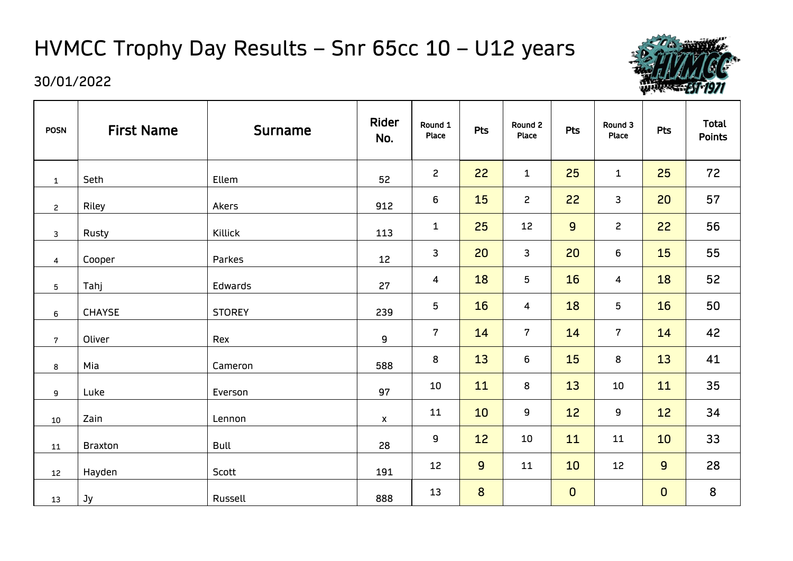# HVMCC Trophy Day Results – Snr 65cc 10 – U12 years



| <b>POSN</b>             | <b>First Name</b> | <b>Surname</b> | Rider<br>No.       | Round 1<br>Place | Pts              | Round 2<br>Place | <b>Pts</b>   | Round 3<br>Place | <b>Pts</b>  | <b>Total</b><br><b>Points</b> |
|-------------------------|-------------------|----------------|--------------------|------------------|------------------|------------------|--------------|------------------|-------------|-------------------------------|
| $\mathbf{1}$            | Seth              | Ellem          | 52                 | $\overline{c}$   | 22               | $\mathbf{1}$     | 25           | $\mathbf{1}$     | 25          | 72                            |
| $\mathbf{2}$            | Riley             | Akers          | 912                | 6                | 15               | $\mathbf{2}$     | 22           | 3                | 20          | 57                            |
| $\mathbf{3}$            | Rusty             | Killick        | 113                | $\mathbf{1}$     | 25               | 12               | 9            | $\mathbf{S}$     | 22          | 56                            |
| $\overline{\mathbf{4}}$ | Cooper            | Parkes         | 12                 | 3                | 20               | 3                | 20           | 6                | <b>15</b>   | 55                            |
| $5\phantom{.0}$         | Tahj              | Edwards        | 27                 | $\overline{4}$   | 18               | 5                | 16           | 4                | 18          | 52                            |
| 6                       | <b>CHAYSE</b>     | <b>STOREY</b>  | 239                | 5                | 16               | 4                | 18           | 5                | 16          | 50                            |
| $\overline{7}$          | Oliver            | Rex            | 9                  | $\overline{7}$   | 14               | $7\phantom{.}$   | 14           | $7\overline{ }$  | 14          | 42                            |
| 8                       | Mia               | Cameron        | 588                | 8                | 13               | 6                | 15           | 8                | 13          | 41                            |
| 9                       | Luke              | Everson        | 97                 | 10               | 11               | 8                | 13           | 10               | 11          | 35                            |
| $10\,$                  | Zain              | Lennon         | $\pmb{\mathsf{X}}$ | 11               | 10               | 9                | 12           | 9                | 12          | 34                            |
| 11                      | <b>Braxton</b>    | <b>Bull</b>    | 28                 | 9                | 12               | 10               | 11           | 11               | 10          | 33                            |
| 12                      | Hayden            | Scott          | 191                | 12               | $\overline{9}$   | 11               | 10           | 12               | 9           | 28                            |
| 13                      | Jy                | Russell        | 888                | 13               | $\boldsymbol{8}$ |                  | $\mathbf{0}$ |                  | $\mathbf 0$ | 8                             |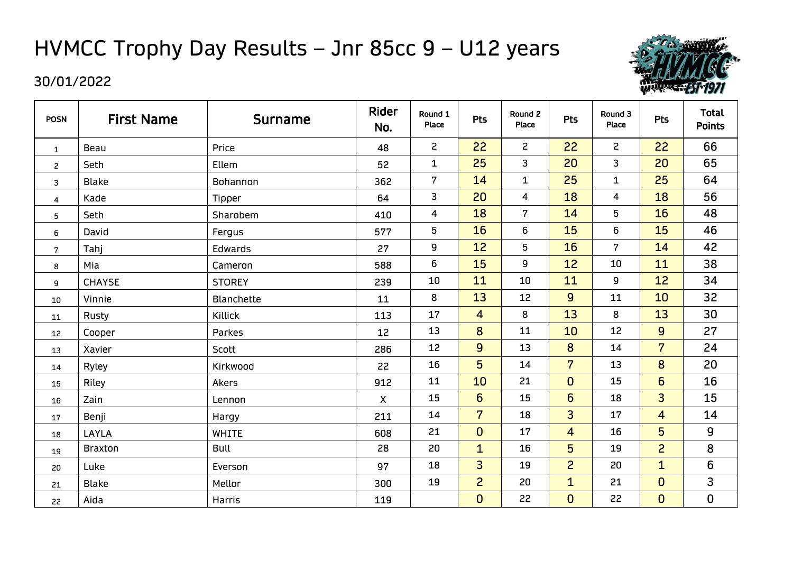# HVMCC Trophy Day Results – Jnr 85cc 9 – U12 years



| <b>POSN</b>      | <b>First Name</b> | <b>Surname</b>    | Rider<br>No. | Round 1<br>Place | <b>Pts</b>              | Round 2<br>Place        | Pts             | Round 3<br>Place | <b>Pts</b>      | <b>Total</b><br><b>Points</b> |
|------------------|-------------------|-------------------|--------------|------------------|-------------------------|-------------------------|-----------------|------------------|-----------------|-------------------------------|
| $\mathbf{1}$     | Beau              | Price             | 48           | $\overline{c}$   | 22                      | $\mathsf{S}$            | 22              | $\overline{c}$   | 22              | 66                            |
| $\overline{c}$   | Seth              | Ellem             | 52           | $\mathbf{1}$     | 25                      | 3                       | 20              | $\overline{3}$   | 20              | 65                            |
| 3                | <b>Blake</b>      | Bohannon          | 362          | $\overline{7}$   | 14                      | $\mathbf{1}$            | 25              | $\mathbf{1}$     | 25              | 64                            |
| 4                | Kade              | Tipper            | 64           | 3                | 20                      | $\overline{\mathbf{4}}$ | 18              | 4                | 18              | 56                            |
| 5                | Seth              | Sharobem          | 410          | 4                | 18                      | $\overline{7}$          | 14              | 5                | 16              | 48                            |
| 6                | David             | Fergus            | 577          | 5                | 16                      | 6                       | 15              | 6                | 15              | 46                            |
| $\boldsymbol{7}$ | Tahj              | Edwards           | 27           | 9                | 12                      | 5                       | 16              | $7\overline{ }$  | 14              | 42                            |
| 8                | Mia               | Cameron           | 588          | 6                | 15                      | 9                       | 12              | 10               | 11              | 38                            |
| 9                | <b>CHAYSE</b>     | <b>STOREY</b>     | 239          | 10               | 11                      | 10                      | 11              | 9                | 12              | 34                            |
| 10               | Vinnie            | <b>Blanchette</b> | 11           | 8                | 13                      | 12                      | $\overline{9}$  | 11               | 10              | 32                            |
| 11               | Rusty             | Killick           | 113          | 17               | $\overline{\mathbf{4}}$ | 8                       | 13              | 8                | 13              | 30                            |
| 12               | Cooper            | Parkes            | 12           | 13               | 8                       | 11                      | 10              | 12               | $\overline{9}$  | 27                            |
| 13               | Xavier            | Scott             | 286          | 12               | 9                       | 13                      | 8               | 14               | $\overline{7}$  | 24                            |
| 14               | Ryley             | Kirkwood          | 22           | 16               | 5                       | 14                      | $\overline{7}$  | 13               | 8               | 20                            |
| 15               | Riley             | Akers             | 912          | 11               | 10                      | 21                      | $\overline{0}$  | 15               | $6\overline{6}$ | 16                            |
| 16               | Zain              | Lennon            | $\mathsf{X}$ | 15               | $6\overline{6}$         | 15                      | $6\overline{6}$ | 18               | $\overline{3}$  | 15                            |
| 17               | Benji             | Hargy             | 211          | 14               | $\overline{7}$          | 18                      | 3 <sup>1</sup>  | 17               | 4               | 14                            |
| 18               | LAYLA             | <b>WHITE</b>      | 608          | 21               | $\mathbf 0$             | 17                      | $\overline{4}$  | 16               | 5               | 9                             |
| 19               | <b>Braxton</b>    | <b>Bull</b>       | 28           | 20               | $\mathbf{1}$            | 16                      | 5               | 19               | $\overline{c}$  | 8                             |
| 20               | Luke              | Everson           | 97           | 18               | $\overline{3}$          | 19                      | $\overline{2}$  | 20               | $\mathbf{1}$    | 6                             |
| 21               | <b>Blake</b>      | Mellor            | 300          | 19               | $\overline{c}$          | 20                      | $\mathbf{1}$    | 21               | $\mathbf 0$     | 3                             |
| 22               | Aida              | <b>Harris</b>     | 119          |                  | $\overline{0}$          | 22                      | $\mathbf 0$     | 22               | $\mathbf 0$     | $\pmb{0}$                     |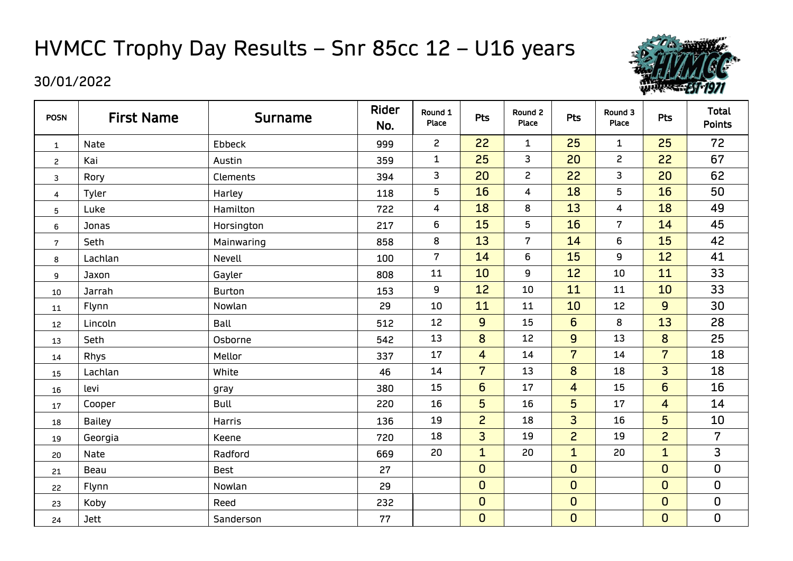# HVMCC Trophy Day Results – Snr 85cc 12 – U16 years



| <b>POSN</b>    | <b>First Name</b> | <b>Surname</b>  | Rider<br>No. | Round 1<br>Place        | <b>Pts</b>     | Round 2<br>Place        | <b>Pts</b>      | Round 3<br>Place | <b>Pts</b>              | <b>Total</b><br><b>Points</b> |
|----------------|-------------------|-----------------|--------------|-------------------------|----------------|-------------------------|-----------------|------------------|-------------------------|-------------------------------|
| $\mathbf{1}$   | Nate              | Ebbeck          | 999          | $\overline{c}$          | 22             | $\mathbf{1}$            | 25              | $\mathbf 1$      | 25                      | 72                            |
| $\overline{c}$ | Kai               | Austin          | 359          | $\mathbf{1}$            | 25             | 3                       | 20              | $\mathsf{S}$     | 22                      | 67                            |
| 3              | Rory              | <b>Clements</b> | 394          | $\mathsf{3}$            | 20             | $\mathsf{S}$            | 22              | 3                | 20                      | 62                            |
| 4              | Tyler             | Harley          | 118          | 5                       | 16             | $\overline{\mathbf{4}}$ | 18              | 5                | 16                      | 50                            |
| 5              | Luke              | Hamilton        | 722          | $\overline{\mathbf{4}}$ | 18             | 8                       | 13              | 4                | 18                      | 49                            |
| 6              | Jonas             | Horsington      | 217          | $\boldsymbol{6}$        | 15             | 5                       | 16              | $\overline{7}$   | 14                      | 45                            |
| $\mathbf 7$    | Seth              | Mainwaring      | 858          | 8                       | 13             | $7\overline{ }$         | 14              | 6                | 15                      | 42                            |
| 8              | Lachlan           | Nevell          | 100          | $\overline{7}$          | 14             | 6                       | 15              | 9                | 12                      | 41                            |
| 9              | Jaxon             | Gayler          | 808          | 11                      | 10             | 9                       | 12              | 10               | 11                      | 33                            |
| 10             | Jarrah            | <b>Burton</b>   | 153          | 9                       | 12             | 10                      | 11              | 11               | 10                      | 33                            |
| 11             | Flynn             | Nowlan          | 29           | 10                      | 11             | 11                      | 10              | 12               | $\overline{9}$          | 30                            |
| 12             | Lincoln           | Ball            | 512          | 12                      | $\overline{9}$ | 15                      | $6\overline{6}$ | 8                | 13                      | 28                            |
| 13             | Seth              | Osborne         | 542          | 13                      | 8              | 12                      | 9               | 13               | 8                       | 25                            |
| 14             | <b>Rhys</b>       | Mellor          | 337          | 17                      | $\overline{4}$ | 14                      | $\overline{7}$  | 14               | $\overline{7}$          | 18                            |
| 15             | Lachlan           | White           | 46           | 14                      | $\overline{7}$ | 13                      | 8               | 18               | 3                       | 18                            |
| 16             | levi              | gray            | 380          | 15                      | $6\phantom{1}$ | 17                      | $\overline{4}$  | 15               | $6\overline{6}$         | 16                            |
| 17             | Cooper            | <b>Bull</b>     | 220          | 16                      | 5              | 16                      | 5               | 17               | $\overline{\mathbf{4}}$ | 14                            |
| 18             | <b>Bailey</b>     | Harris          | 136          | 19                      | $\overline{c}$ | 18                      | $\overline{3}$  | 16               | 5                       | 10                            |
| 19             | Georgia           | Keene           | 720          | 18                      | $\overline{3}$ | 19                      | $\overline{c}$  | 19               | $\overline{c}$          | $\overline{7}$                |
| 20             | Nate              | Radford         | 669          | 20                      | $\mathbf{1}$   | 20                      | $\mathbf{1}$    | 20               | $\mathbf{1}$            | 3                             |
| 21             | Beau              | <b>Best</b>     | 27           |                         | $\mathbf 0$    |                         | $\mathbf 0$     |                  | $\mathbf 0$             | 0                             |
| 22             | Flynn             | Nowlan          | 29           |                         | $\mathbf 0$    |                         | $\mathbf 0$     |                  | $\mathbf 0$             | 0                             |
| 23             | Koby              | Reed            | 232          |                         | $\mathbf 0$    |                         | $\mathbf 0$     |                  | $\mathbf 0$             | 0                             |
| 24             | <b>Jett</b>       | Sanderson       | 77           |                         | $\overline{0}$ |                         | $\mathbf 0$     |                  | $\overline{0}$          | $\pmb{0}$                     |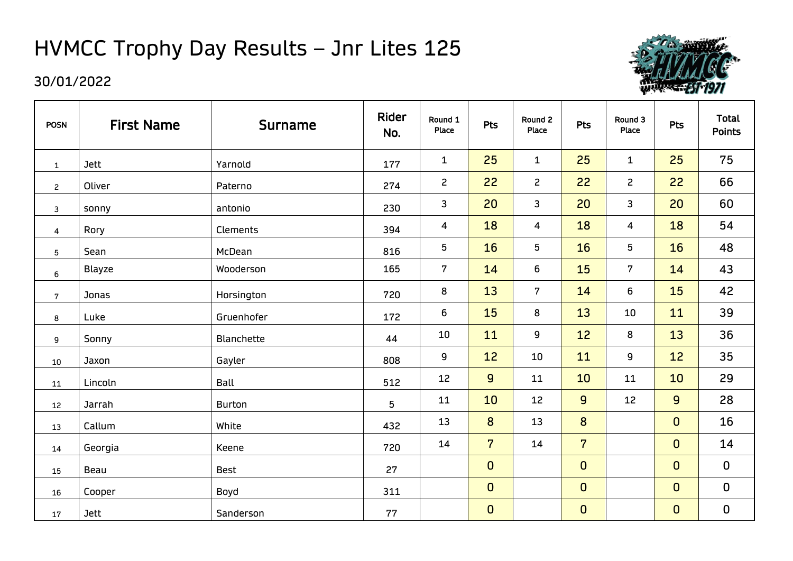# HVMCC Trophy Day Results – Jnr Lites 125



| <b>POSN</b>             | <b>First Name</b> | <b>Surname</b> | Rider<br>No. | Round 1<br>Place | <b>Pts</b>     | Round 2<br>Place | Pts            | Round 3<br>Place | Pts         | <b>Total</b><br><b>Points</b> |
|-------------------------|-------------------|----------------|--------------|------------------|----------------|------------------|----------------|------------------|-------------|-------------------------------|
| $\mathbf{1}$            | <b>Jett</b>       | Yarnold        | 177          | $\mathbf{1}$     | 25             | $\mathbf{1}$     | 25             | $\mathbf{1}$     | 25          | 75                            |
| $\mathbf{2}$            | Oliver            | Paterno        | 274          | $\mathsf{S}$     | 22             | $\overline{c}$   | 22             | $\overline{c}$   | 22          | 66                            |
| $\mathbf{3}$            | sonny             | antonio        | 230          | 3                | 20             | $\mathsf{3}$     | 20             | 3                | 20          | 60                            |
| $\overline{\mathbf{4}}$ | Rory              | Clements       | 394          | 4                | 18             | $\overline{4}$   | 18             | 4                | 18          | 54                            |
| $5\overline{)}$         | Sean              | McDean         | 816          | 5                | 16             | $\sqrt{5}$       | 16             | 5                | 16          | 48                            |
| 6                       | <b>Blayze</b>     | Wooderson      | 165          | $\mathbf 7$      | 14             | $\boldsymbol{6}$ | 15             | $7\phantom{.}$   | 14          | 43                            |
| $\overline{7}$          | Jonas             | Horsington     | 720          | $\bf 8$          | 13             | $\overline{7}$   | 14             | 6                | 15          | 42                            |
| 8                       | Luke              | Gruenhofer     | 172          | 6                | 15             | 8                | 13             | 10               | 11          | 39                            |
| 9                       | Sonny             | Blanchette     | 44           | 10               | 11             | 9                | 12             | 8                | 13          | 36                            |
| 10                      | Jaxon             | Gayler         | 808          | 9                | 12             | 10               | 11             | 9                | 12          | 35                            |
| 11                      | Lincoln           | Ball           | 512          | 12               | $\overline{9}$ | 11               | 10             | 11               | 10          | 29                            |
| 12                      | Jarrah            | <b>Burton</b>  | 5            | 11               | 10             | 12               | $\overline{9}$ | 12               | 9           | 28                            |
| 13                      | Callum            | White          | 432          | 13               | 8              | 13               | 8              |                  | $\mathbf 0$ | 16                            |
| 14                      | Georgia           | Keene          | 720          | 14               | $\overline{7}$ | 14               | $\overline{7}$ |                  | $\mathbf 0$ | 14                            |
| 15                      | Beau              | <b>Best</b>    | 27           |                  | $\mathbf 0$    |                  | $\overline{0}$ |                  | $\mathbf 0$ | $\mathbf 0$                   |
| 16                      | Cooper            | Boyd           | 311          |                  | $\mathbf 0$    |                  | $\mathbf 0$    |                  | $\mathbf 0$ | $\mathbf 0$                   |
| 17                      | <b>Jett</b>       | Sanderson      | 77           |                  | $\mathbf 0$    |                  | $\mathbf 0$    |                  | $\mathbf 0$ | $\mathbf 0$                   |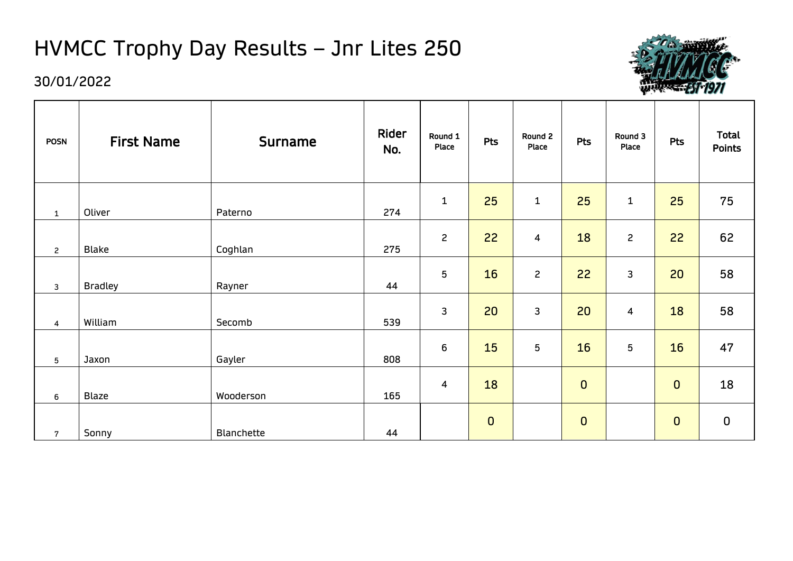# HVMCC Trophy Day Results – Jnr Lites 250



| <b>POSN</b>     | <b>First Name</b> | <b>Surname</b> | Rider<br>No. | Round 1<br><b>Place</b> | Pts         | Round 2<br>Place | Pts            | Round 3<br>Place | Pts         | <b>Total</b><br><b>Points</b> |
|-----------------|-------------------|----------------|--------------|-------------------------|-------------|------------------|----------------|------------------|-------------|-------------------------------|
| $\mathbf{1}$    | Oliver            | Paterno        | 274          | $\mathbf 1$             | 25          | $\mathbf 1$      | 25             | $\mathbf{1}$     | 25          | 75                            |
| $\mathbf{2}$    | <b>Blake</b>      | Coghlan        | 275          | $\overline{c}$          | 22          | 4                | 18             | $\mathsf{S}$     | 22          | 62                            |
| 3               | <b>Bradley</b>    | Rayner         | 44           | 5                       | 16          | $\overline{c}$   | 22             | 3                | 20          | 58                            |
| $\overline{4}$  | William           | Secomb         | 539          | 3                       | 20          | 3                | 20             | $\overline{4}$   | 18          | 58                            |
| $5\phantom{.0}$ | Jaxon             | Gayler         | 808          | $6\phantom{1}6$         | 15          | 5                | 16             | 5                | 16          | 47                            |
| 6               | <b>Blaze</b>      | Wooderson      | 165          | $\overline{4}$          | 18          |                  | $\overline{0}$ |                  | $\mathbf 0$ | 18                            |
| $\overline{7}$  | Sonny             | Blanchette     | 44           |                         | $\mathbf 0$ |                  | $\overline{0}$ |                  | $\mathbf 0$ | $\mathbf 0$                   |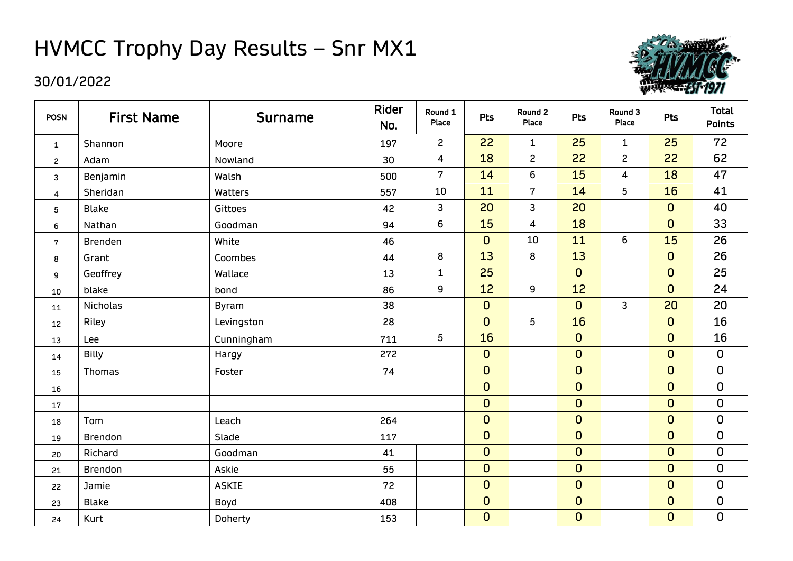### HVMCC Trophy Day Results – Snr MX1



| <b>POSN</b>    | <b>First Name</b> | <b>Surname</b> | Rider<br>No. | Round 1<br>Place | Pts            | Round 2<br>Place        | <b>Pts</b>     | Round 3<br>Place | <b>Pts</b>       | <b>Total</b><br><b>Points</b> |
|----------------|-------------------|----------------|--------------|------------------|----------------|-------------------------|----------------|------------------|------------------|-------------------------------|
| $\mathbf{1}$   | Shannon           | Moore          | 197          | $\mathsf{S}$     | 22             | $\mathbf{1}$            | 25             | $\mathbf{1}$     | 25               | 72                            |
| $\overline{c}$ | Adam              | Nowland        | 30           | 4                | 18             | $\overline{c}$          | 22             | $\overline{c}$   | 22               | 62                            |
| 3              | Benjamin          | Walsh          | 500          | $\overline{7}$   | 14             | 6                       | 15             | $\overline{4}$   | 18               | 47                            |
| 4              | Sheridan          | Watters        | 557          | 10               | 11             | $\overline{7}$          | 14             | 5                | 16               | 41                            |
| 5              | <b>Blake</b>      | Gittoes        | 42           | 3                | 20             | $\mathsf{3}$            | 20             |                  | $\mathbf 0$      | 40                            |
| 6              | Nathan            | Goodman        | 94           | 6                | 15             | $\overline{\mathbf{4}}$ | 18             |                  | $\mathbf 0$      | 33                            |
| $\mathbf 7$    | <b>Brenden</b>    | White          | 46           |                  | $\mathbf{0}$   | 10                      | 11             | 6                | 15               | 26                            |
| 8              | Grant             | Coombes        | 44           | 8                | 13             | 8                       | 13             |                  | $\mathbf 0$      | 26                            |
| 9              | Geoffrey          | Wallace        | 13           | $\mathbf{1}$     | 25             |                         | $\overline{0}$ |                  | $\mathbf 0$      | 25                            |
| 10             | blake             | bond           | 86           | $\boldsymbol{9}$ | 12             | 9                       | 12             |                  | $\mathbf 0$      | 24                            |
| 11             | <b>Nicholas</b>   | Byram          | 38           |                  | $\overline{0}$ |                         | $\overline{0}$ | 3                | 20               | 20                            |
| 12             | Riley             | Levingston     | 28           |                  | $\overline{0}$ | 5                       | 16             |                  | $\mathbf 0$      | 16                            |
| 13             | Lee               | Cunningham     | 711          | 5                | 16             |                         | $\mathbf{O}$   |                  | $\boldsymbol{0}$ | 16                            |
| 14             | <b>Billy</b>      | Hargy          | 272          |                  | $\mathbf 0$    |                         | $\overline{0}$ |                  | $\overline{0}$   | $\mathbf 0$                   |
| 15             | <b>Thomas</b>     | Foster         | 74           |                  | $\mathbf 0$    |                         | $\overline{0}$ |                  | $\mathbf 0$      | $\pmb{0}$                     |
| 16             |                   |                |              |                  | $\mathbf 0$    |                         | $\overline{0}$ |                  | $\mathbf 0$      | $\mathbf 0$                   |
| 17             |                   |                |              |                  | $\mathbf 0$    |                         | $\overline{0}$ |                  | $\mathbf 0$      | $\pmb{0}$                     |
| 18             | Tom               | Leach          | 264          |                  | $\overline{0}$ |                         | $\overline{0}$ |                  | $\mathbf 0$      | $\pmb{0}$                     |
| 19             | <b>Brendon</b>    | Slade          | 117          |                  | $\overline{0}$ |                         | $\overline{0}$ |                  | $\mathbf 0$      | $\mathbf 0$                   |
| 20             | Richard           | Goodman        | 41           |                  | $\mathbf 0$    |                         | $\overline{0}$ |                  | $\mathbf 0$      | $\mathbf 0$                   |
| 21             | <b>Brendon</b>    | Askie          | 55           |                  | $\mathbf 0$    |                         | $\overline{0}$ |                  | $\mathbf 0$      | $\pmb{0}$                     |
| 22             | Jamie             | <b>ASKIE</b>   | 72           |                  | $\overline{0}$ |                         | $\mathbf{O}$   |                  | $\mathbf 0$      | 0                             |
| 23             | <b>Blake</b>      | Boyd           | 408          |                  | $\mathbf 0$    |                         | $\mathbf{O}$   |                  | $\mathbf 0$      | $\mathbf 0$                   |
| 24             | Kurt              | Doherty        | 153          |                  | $\overline{0}$ |                         | $\overline{0}$ |                  | $\overline{0}$   | $\mathbf 0$                   |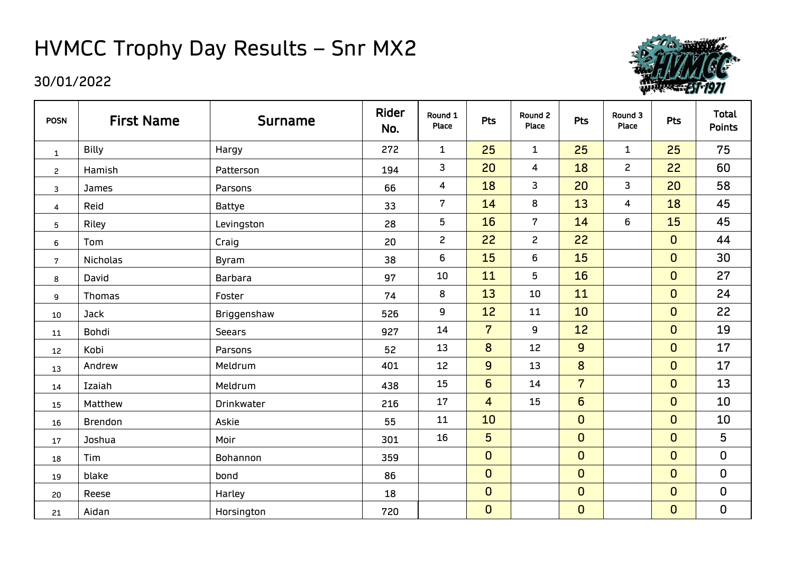### HVMCC Trophy Day Results – Snr MX2

| <b>POSN</b>    | <b>First Name</b> | <b>Surname</b> | Rider<br>No. | Round 1<br>Place        | Pts                     | Round 2<br>Place | Pts             | Round 3<br>Place        | <b>Pts</b>     | <b>Total</b><br><b>Points</b> |
|----------------|-------------------|----------------|--------------|-------------------------|-------------------------|------------------|-----------------|-------------------------|----------------|-------------------------------|
| $\mathbf{1}$   | <b>Billy</b>      | Hargy          | 272          | $\mathbf{1}$            | 25                      | $\mathbf{1}$     | 25              | $\mathbf{1}$            | 25             | 75                            |
| $\overline{c}$ | Hamish            | Patterson      | 194          | 3                       | 20                      | 4                | 18              | $\overline{c}$          | 22             | 60                            |
| 3              | James             | Parsons        | 66           | $\overline{\mathbf{4}}$ | 18                      | 3                | 20              | 3                       | 20             | 58                            |
| 4              | Reid              | <b>Battye</b>  | 33           | $\boldsymbol{7}$        | 14                      | 8                | 13              | $\overline{\mathbf{4}}$ | 18             | 45                            |
| 5              | Riley             | Levingston     | 28           | $5\phantom{.0}$         | 16                      | $\overline{7}$   | 14              | 6                       | 15             | 45                            |
| 6              | Tom               | Craig          | 20           | $\overline{c}$          | 22                      | $\mathbf{2}$     | 22              |                         | $\mathbf 0$    | 44                            |
| $\overline{7}$ | <b>Nicholas</b>   | <b>Byram</b>   | 38           | 6                       | 15                      | 6                | 15              |                         | $\overline{0}$ | 30                            |
| 8              | David             | <b>Barbara</b> | 97           | 10                      | 11                      | 5                | 16              |                         | $\mathbf 0$    | 27                            |
| 9              | <b>Thomas</b>     | Foster         | 74           | 8                       | 13                      | 10               | 11              |                         | $\overline{0}$ | 24                            |
| 10             | <b>Jack</b>       | Briggenshaw    | 526          | 9                       | 12                      | 11               | 10              |                         | $\mathbf 0$    | 22                            |
| 11             | Bohdi             | Seears         | 927          | 14                      | $\overline{7}$          | 9                | 12              |                         | $\mathbf{0}$   | 19                            |
| 12             | Kobi              | Parsons        | 52           | 13                      | 8                       | 12               | $\overline{9}$  |                         | $\overline{0}$ | 17                            |
| 13             | Andrew            | Meldrum        | 401          | 12                      | $\overline{9}$          | 13               | 8               |                         | $\mathbf 0$    | 17                            |
| 14             | Izaiah            | Meldrum        | 438          | 15                      | $6\overline{6}$         | 14               | $\overline{7}$  |                         | $\mathbf 0$    | 13                            |
| 15             | Matthew           | Drinkwater     | 216          | 17                      | $\overline{\mathbf{4}}$ | 15               | $6\overline{6}$ |                         | $\mathbf 0$    | 10                            |
| 16             | Brendon           | Askie          | 55           | 11                      | 10                      |                  | $\mathbf 0$     |                         | $\overline{0}$ | 10                            |
| 17             | Joshua            | Moir           | 301          | 16                      | 5                       |                  | $\mathbf 0$     |                         | $\mathbf 0$    | 5                             |
| 18             | Tim               | Bohannon       | 359          |                         | $\mathbf 0$             |                  | $\overline{0}$  |                         | $\mathbf 0$    | 0                             |
| 19             | blake             | bond           | 86           |                         | $\mathbf 0$             |                  | $\overline{0}$  |                         | $\mathbf{0}$   | $\mathbf 0$                   |
| 20             | Reese             | Harley         | 18           |                         | $\mathbf 0$             |                  | $\mathbf 0$     |                         | $\mathbf{0}$   | 0                             |
| 21             | Aidan             | Horsington     | 720          |                         | $\mathbf 0$             |                  | $\mathbf 0$     |                         | $\mathbf 0$    | 0                             |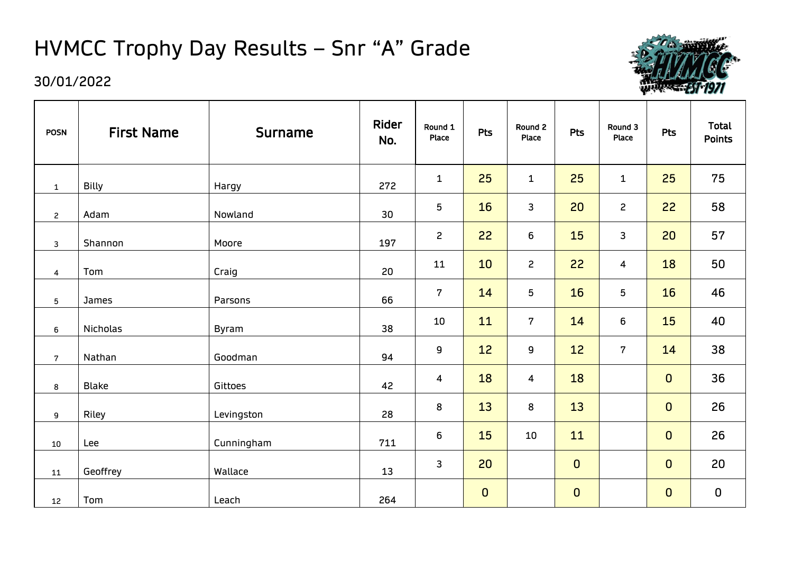# HVMCC Trophy Day Results – Snr "A" Grade



| <b>POSN</b>    | <b>First Name</b> | <b>Surname</b> | Rider<br>No. | Round 1<br>Place | <b>Pts</b>  | Round 2<br>Place | <b>Pts</b>  | Round 3<br>Place | Pts         | <b>Total</b><br><b>Points</b> |
|----------------|-------------------|----------------|--------------|------------------|-------------|------------------|-------------|------------------|-------------|-------------------------------|
| $\mathbf 1$    | <b>Billy</b>      | Hargy          | 272          | $\mathbf{1}$     | 25          | $\mathbf{1}$     | 25          | $\mathbf{1}$     | 25          | 75                            |
| $\mathbf{2}$   | Adam              | Nowland        | 30           | 5                | 16          | 3                | 20          | $\overline{c}$   | 22          | 58                            |
| 3              | Shannon           | Moore          | 197          | $\overline{2}$   | 22          | 6                | 15          | 3                | 20          | 57                            |
| 4              | Tom               | Craig          | 20           | 11               | 10          | $\mathsf{S}$     | 22          | $\overline{4}$   | 18          | 50                            |
| 5              | James             | Parsons        | 66           | $\overline{7}$   | 14          | 5                | 16          | 5                | 16          | 46                            |
| 6              | <b>Nicholas</b>   | Byram          | 38           | 10               | 11          | $7\overline{ }$  | 14          | 6                | 15          | 40                            |
| $\overline{7}$ | Nathan            | Goodman        | 94           | 9                | 12          | 9                | 12          | $\overline{7}$   | 14          | 38                            |
| 8              | <b>Blake</b>      | Gittoes        | 42           | 4                | 18          | 4                | 18          |                  | $\mathbf 0$ | 36                            |
| 9              | Riley             | Levingston     | 28           | 8                | 13          | 8                | 13          |                  | $\mathbf 0$ | 26                            |
| 10             | Lee               | Cunningham     | 711          | 6                | 15          | 10               | 11          |                  | $\mathbf 0$ | 26                            |
| 11             | Geoffrey          | Wallace        | 13           | 3                | 20          |                  | $\mathbf 0$ |                  | $\mathbf 0$ | 20                            |
| 12             | Tom               | Leach          | 264          |                  | $\mathbf 0$ |                  | $\mathbf 0$ |                  | $\mathbf 0$ | $\pmb{0}$                     |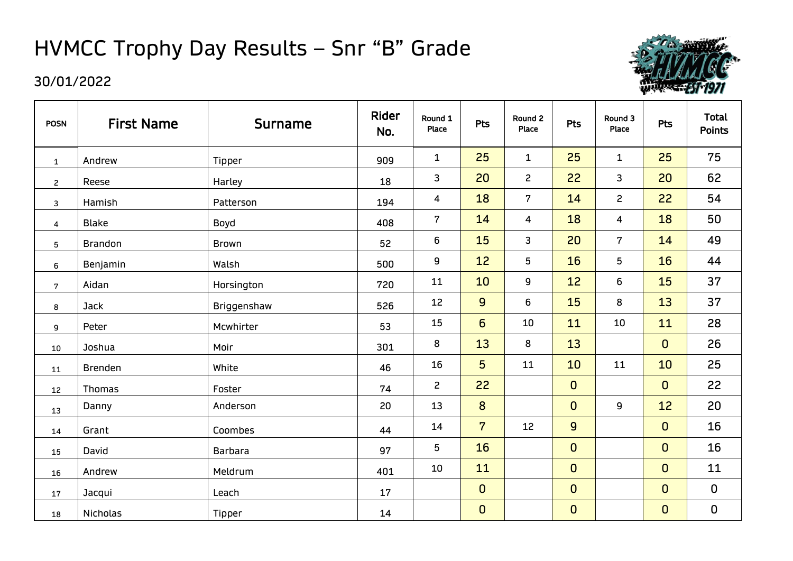## HVMCC Trophy Day Results – Snr "B" Grade



| <b>POSN</b>             | <b>First Name</b> | <b>Surname</b> | Rider<br>No. | Round 1<br>Place        | Pts            | Round 2<br>Place | Pts            | Round 3<br>Place | <b>Pts</b>  | <b>Total</b><br><b>Points</b> |
|-------------------------|-------------------|----------------|--------------|-------------------------|----------------|------------------|----------------|------------------|-------------|-------------------------------|
| $\mathbf 1$             | Andrew            | Tipper         | 909          | $\mathbf{1}$            | 25             | $\mathbf{1}$     | 25             | $\mathbf{1}$     | 25          | 75                            |
| $\overline{c}$          | Reese             | Harley         | 18           | $\mathbf{3}$            | 20             | $\overline{c}$   | 22             | 3                | 20          | 62                            |
| $\mathbf{3}$            | Hamish            | Patterson      | 194          | $\overline{\mathbf{4}}$ | 18             | $\mathbf 7$      | 14             | $\overline{c}$   | 22          | 54                            |
| $\overline{\mathbf{4}}$ | <b>Blake</b>      | Boyd           | 408          | $\overline{7}$          | 14             | 4                | 18             | 4                | 18          | 50                            |
| $\mathbf 5$             | <b>Brandon</b>    | Brown          | 52           | 6                       | 15             | 3                | 20             | $\overline{7}$   | 14          | 49                            |
| 6                       | Benjamin          | Walsh          | 500          | 9                       | 12             | 5                | 16             | 5                | 16          | 44                            |
| $\overline{7}$          | Aidan             | Horsington     | 720          | 11                      | 10             | 9                | 12             | 6                | 15          | 37                            |
| 8                       | Jack              | Briggenshaw    | 526          | 12                      | $\overline{9}$ | 6                | 15             | 8                | 13          | 37                            |
| 9                       | Peter             | Mcwhirter      | 53           | 15                      | $6\phantom{1}$ | 10               | 11             | 10               | 11          | 28                            |
| 10                      | Joshua            | Moir           | 301          | 8                       | 13             | 8                | 13             |                  | $\mathbf 0$ | 26                            |
| 11                      | <b>Brenden</b>    | White          | 46           | 16                      | 5              | 11               | 10             | 11               | 10          | 25                            |
| 12                      | <b>Thomas</b>     | Foster         | 74           | $\overline{c}$          | 22             |                  | $\mathbf 0$    |                  | $\mathbf 0$ | 22                            |
| 13                      | Danny             | Anderson       | 20           | 13                      | 8              |                  | $\overline{0}$ | 9                | 12          | 20                            |
| 14                      | Grant             | Coombes        | 44           | 14                      | $\overline{7}$ | 12               | $\overline{9}$ |                  | $\mathbf 0$ | 16                            |
| 15                      | David             | Barbara        | 97           | 5                       | 16             |                  | $\mathbf 0$    |                  | $\mathbf 0$ | 16                            |
| 16                      | Andrew            | Meldrum        | 401          | 10                      | 11             |                  | $\mathbf 0$    |                  | $\mathbf 0$ | 11                            |
| 17                      | Jacqui            | Leach          | 17           |                         | $\mathbf 0$    |                  | $\mathbf 0$    |                  | $\mathbf 0$ | $\pmb{0}$                     |
| 18                      | Nicholas          | Tipper         | 14           |                         | $\pmb{0}$      |                  | $\mathbf 0$    |                  | $\mathbf 0$ | $\pmb{0}$                     |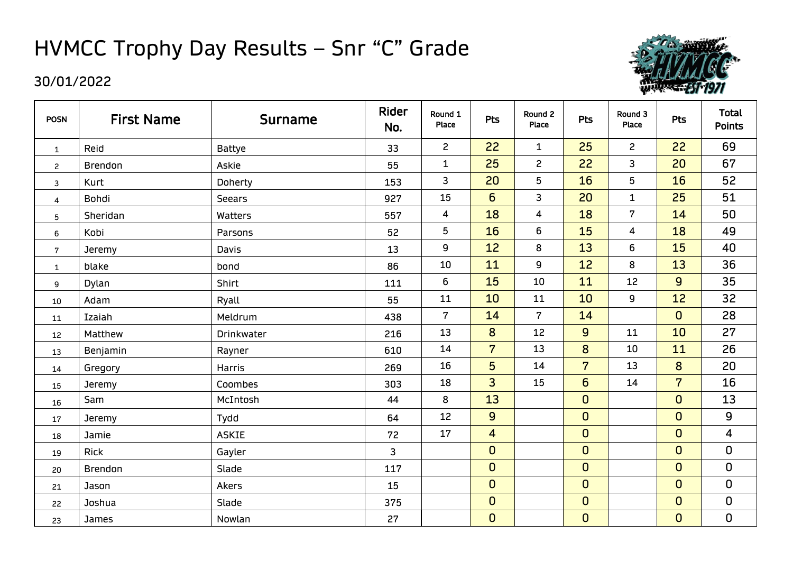### HVMCC Trophy Day Results – Snr "C" Grade



| <b>POSN</b>      | <b>First Name</b> | <b>Surname</b> | Rider<br>No.   | Round 1<br><b>Place</b> | <b>Pts</b>      | Round 2<br>Place | <b>Pts</b>      | Round 3<br>Place | <b>Pts</b>     | <b>Total</b><br><b>Points</b> |
|------------------|-------------------|----------------|----------------|-------------------------|-----------------|------------------|-----------------|------------------|----------------|-------------------------------|
| $\mathbf{1}$     | Reid              | <b>Battye</b>  | 33             | $\overline{2}$          | 22              | $\mathbf{1}$     | 25              | $\mathsf{S}$     | 22             | 69                            |
| $\mathbf{2}$     | <b>Brendon</b>    | Askie          | 55             | $\mathbf{1}$            | 25              | $\overline{c}$   | 22              | 3                | 20             | 67                            |
| 3                | Kurt              | Doherty        | 153            | 3                       | 20              | 5                | 16              | 5                | 16             | 52                            |
| 4                | Bohdi             | <b>Seears</b>  | 927            | 15                      | $6\overline{6}$ | 3                | 20              | $\mathbf{1}$     | 25             | 51                            |
| 5                | Sheridan          | Watters        | 557            | $\overline{\mathbf{4}}$ | 18              | 4                | 18              | $7\overline{ }$  | 14             | 50                            |
| 6                | Kobi              | Parsons        | 52             | 5                       | 16              | 6                | 15              | $\overline{4}$   | 18             | 49                            |
| $\boldsymbol{7}$ | Jeremy            | Davis          | 13             | 9                       | 12              | $\bf 8$          | 13              | 6                | 15             | 40                            |
| $\mathbf{1}$     | blake             | bond           | 86             | 10                      | 11              | 9                | 12              | 8                | 13             | 36                            |
| 9                | Dylan             | Shirt          | 111            | 6                       | 15              | 10               | 11              | 12               | 9              | 35                            |
| 10               | Adam              | Ryall          | 55             | 11                      | 10              | 11               | 10              | 9                | 12             | 32                            |
| 11               | Izaiah            | Meldrum        | 438            | $\mathbf 7$             | 14              | $\overline{7}$   | 14              |                  | $\mathbf 0$    | 28                            |
| 12               | Matthew           | Drinkwater     | 216            | 13                      | 8               | 12               | $\overline{9}$  | 11               | 10             | 27                            |
| 13               | Benjamin          | Rayner         | 610            | 14                      | $\overline{7}$  | 13               | 8               | 10               | 11             | 26                            |
| 14               | Gregory           | <b>Harris</b>  | 269            | 16                      | 5               | 14               | $\overline{7}$  | 13               | 8              | 20                            |
| 15               | <b>Jeremy</b>     | Coombes        | 303            | 18                      | $\overline{3}$  | 15               | $6\overline{6}$ | 14               | $\overline{7}$ | 16                            |
| 16               | Sam               | McIntosh       | 44             | 8                       | 13              |                  | $\mathbf 0$     |                  | $\mathbf 0$    | 13                            |
| 17               | Jeremy            | Tydd           | 64             | 12                      | $\overline{9}$  |                  | $\overline{0}$  |                  | $\Omega$       | $\mathsf{g}\,$                |
| 18               | Jamie             | <b>ASKIE</b>   | 72             | 17                      | $\overline{4}$  |                  | $\overline{0}$  |                  | $\overline{0}$ | 4                             |
| 19               | <b>Rick</b>       | Gayler         | $\overline{3}$ |                         | $\mathbf 0$     |                  | $\overline{0}$  |                  | $\overline{0}$ | $\mathbf 0$                   |
| 20               | <b>Brendon</b>    | Slade          | 117            |                         | $\mathbf 0$     |                  | $\mathbf 0$     |                  | $\mathbf 0$    | $\pmb{0}$                     |
| 21               | Jason             | Akers          | 15             |                         | $\overline{0}$  |                  | $\overline{0}$  |                  | $\overline{0}$ | $\mathbf 0$                   |
| 22               | Joshua            | Slade          | 375            |                         | $\mathbf 0$     |                  | $\mathbf 0$     |                  | $\mathbf 0$    | $\pmb{0}$                     |
| 23               | <b>James</b>      | Nowlan         | 27             |                         | $\mathbf 0$     |                  | $\mathbf 0$     |                  | $\mathbf 0$    | $\mathbf 0$                   |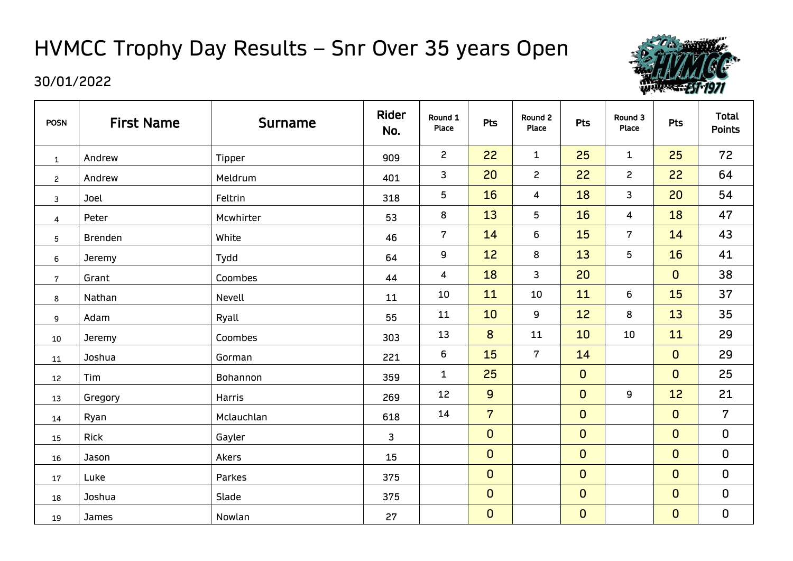# HVMCC Trophy Day Results – Snr Over 35 years Open



| <b>POSN</b>    | <b>First Name</b> | <b>Surname</b> | Rider<br>No. | Round 1<br>Place | <b>Pts</b>     | Round 2<br>Place | Pts            | Round 3<br>Place        | <b>Pts</b>   | <b>Total</b><br><b>Points</b> |
|----------------|-------------------|----------------|--------------|------------------|----------------|------------------|----------------|-------------------------|--------------|-------------------------------|
| $\mathbf{1}$   | Andrew            | Tipper         | 909          | $\mathbf{2}$     | 22             | $\mathbf{1}$     | 25             | $\mathbf{1}$            | 25           | 72                            |
| $\overline{c}$ | Andrew            | Meldrum        | 401          | 3                | 20             | $\mathbf{2}$     | 22             | $\mathbf{2}$            | 22           | 64                            |
| 3              | Joel              | Feltrin        | 318          | 5                | 16             | 4                | 18             | 3                       | 20           | 54                            |
| 4              | Peter             | Mcwhirter      | 53           | 8                | 13             | 5                | 16             | $\overline{\mathbf{4}}$ | 18           | 47                            |
| 5              | <b>Brenden</b>    | White          | 46           | $\overline{7}$   | 14             | 6                | <b>15</b>      | $7\overline{ }$         | 14           | 43                            |
| 6              | Jeremy            | Tydd           | 64           | 9                | 12             | 8                | 13             | 5 <sub>5</sub>          | 16           | 41                            |
| $\mathbf{7}$   | Grant             | Coombes        | 44           | 4                | 18             | 3                | 20             |                         | $\mathbf{0}$ | 38                            |
| 8              | Nathan            | Nevell         | 11           | 10               | 11             | 10               | 11             | 6                       | 15           | 37                            |
| 9              | Adam              | Ryall          | 55           | 11               | 10             | 9                | 12             | 8                       | 13           | 35                            |
| 10             | Jeremy            | Coombes        | 303          | 13               | 8              | 11               | 10             | 10                      | 11           | 29                            |
| 11             | Joshua            | Gorman         | 221          | 6                | 15             | $\overline{7}$   | 14             |                         | $\mathbf{0}$ | 29                            |
| 12             | Tim               | Bohannon       | 359          | $\mathbf{1}$     | 25             |                  | $\mathbf 0$    |                         | $\mathbf{0}$ | 25                            |
| 13             | Gregory           | Harris         | 269          | 12               | $\overline{9}$ |                  | $\mathbf 0$    | 9                       | 12           | 21                            |
| 14             | Ryan              | Mclauchlan     | 618          | 14               | $\overline{7}$ |                  | $\overline{0}$ |                         | $\mathbf{0}$ | $\overline{7}$                |
| 15             | Rick              | Gayler         | 3            |                  | $\mathbf 0$    |                  | $\mathbf 0$    |                         | $\mathbf{0}$ | $\mathbf 0$                   |
| 16             | Jason             | Akers          | 15           |                  | $\mathbf 0$    |                  | $\mathbf 0$    |                         | $\mathbf{0}$ | $\mathbf 0$                   |
| 17             | Luke              | Parkes         | 375          |                  | $\mathbf 0$    |                  | $\mathbf 0$    |                         | $\mathbf{0}$ | $\pmb{0}$                     |
| 18             | Joshua            | Slade          | 375          |                  | $\mathbf 0$    |                  | $\mathbf 0$    |                         | $\mathbf{0}$ | $\mathbf 0$                   |
| 19             | James             | Nowlan         | 27           |                  | $\mathbf 0$    |                  | $\mathbf 0$    |                         | $\mathbf{0}$ | $\mathbf 0$                   |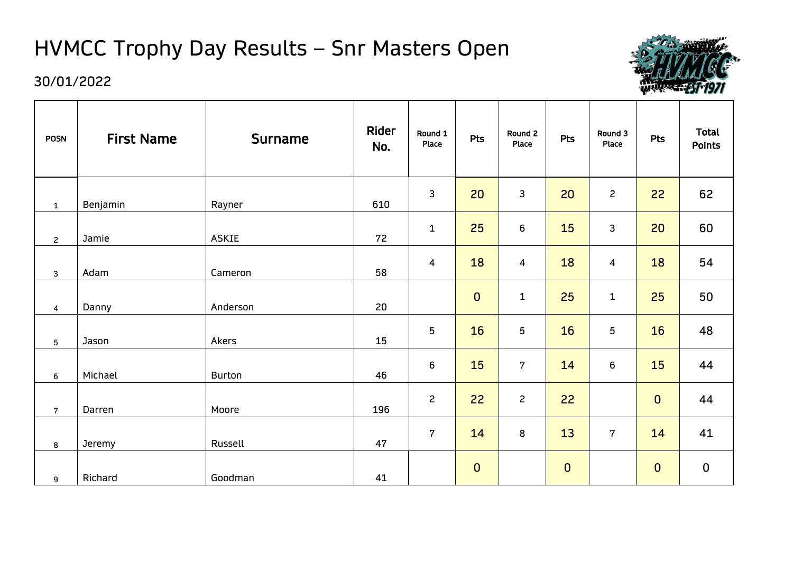# HVMCC Trophy Day Results – Snr Masters Open



#### 30/01/2022

 $\blacksquare$ 

| <b>POSN</b>     | <b>First Name</b> | <b>Surname</b> | Rider<br>No. | Round 1<br>Place        | <b>Pts</b>  | Round 2<br>Place | Pts         | Round 3<br>Place        | <b>Pts</b>  | <b>Total</b><br><b>Points</b> |
|-----------------|-------------------|----------------|--------------|-------------------------|-------------|------------------|-------------|-------------------------|-------------|-------------------------------|
| $\mathbf{1}$    | Benjamin          | Rayner         | 610          | 3                       | 20          | 3                | 20          | $\mathsf{S}$            | 22          | 62                            |
| $\overline{c}$  | Jamie             | <b>ASKIE</b>   | 72           | $\mathbf 1$             | 25          | 6                | 15          | 3                       | 20          | 60                            |
| $\mathbf{3}$    | Adam              | Cameron        | 58           | $\overline{\mathbf{4}}$ | 18          | $\overline{4}$   | 18          | $\overline{\mathbf{4}}$ | 18          | 54                            |
| 4               | Danny             | Anderson       | 20           |                         | $\mathbf 0$ | $\mathbf{1}$     | 25          | $\mathbf 1$             | 25          | 50                            |
| $5\phantom{.0}$ | Jason             | Akers          | 15           | 5                       | 16          | 5                | 16          | 5                       | 16          | 48                            |
| 6               | Michael           | <b>Burton</b>  | 46           | $\boldsymbol{6}$        | 15          | $\overline{7}$   | 14          | 6                       | 15          | 44                            |
| $\overline{7}$  | Darren            | Moore          | 196          | $\overline{2}$          | 22          | $\overline{2}$   | 22          |                         | $\mathbf 0$ | 44                            |
| 8               | Jeremy            | Russell        | 47           | $\overline{7}$          | 14          | 8                | 13          | $\overline{7}$          | 14          | 41                            |
| $\mathsf g$     | Richard           | Goodman        | 41           |                         | $\mathbf 0$ |                  | $\mathbf 0$ |                         | $\mathbf 0$ | $\mathbf 0$                   |